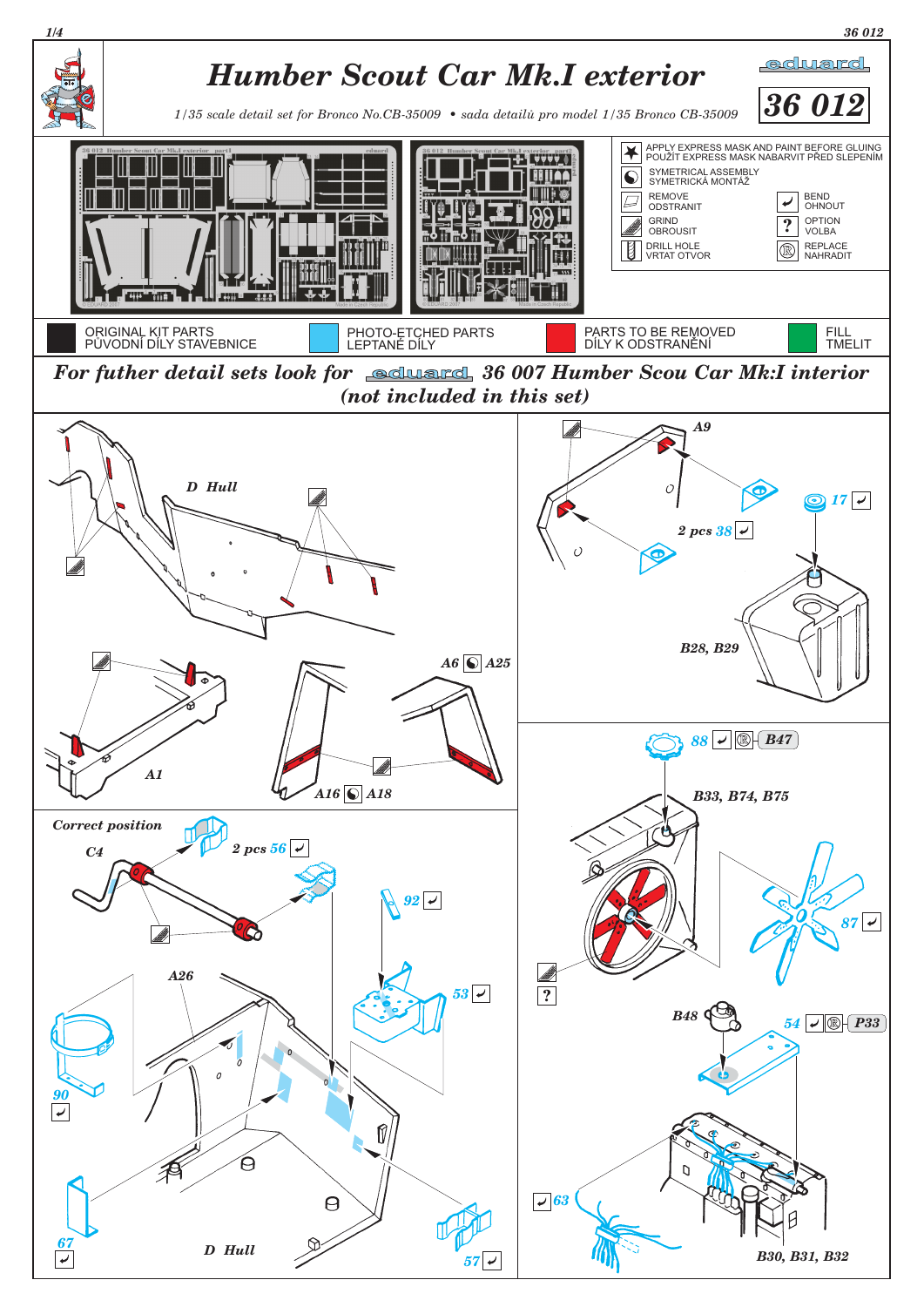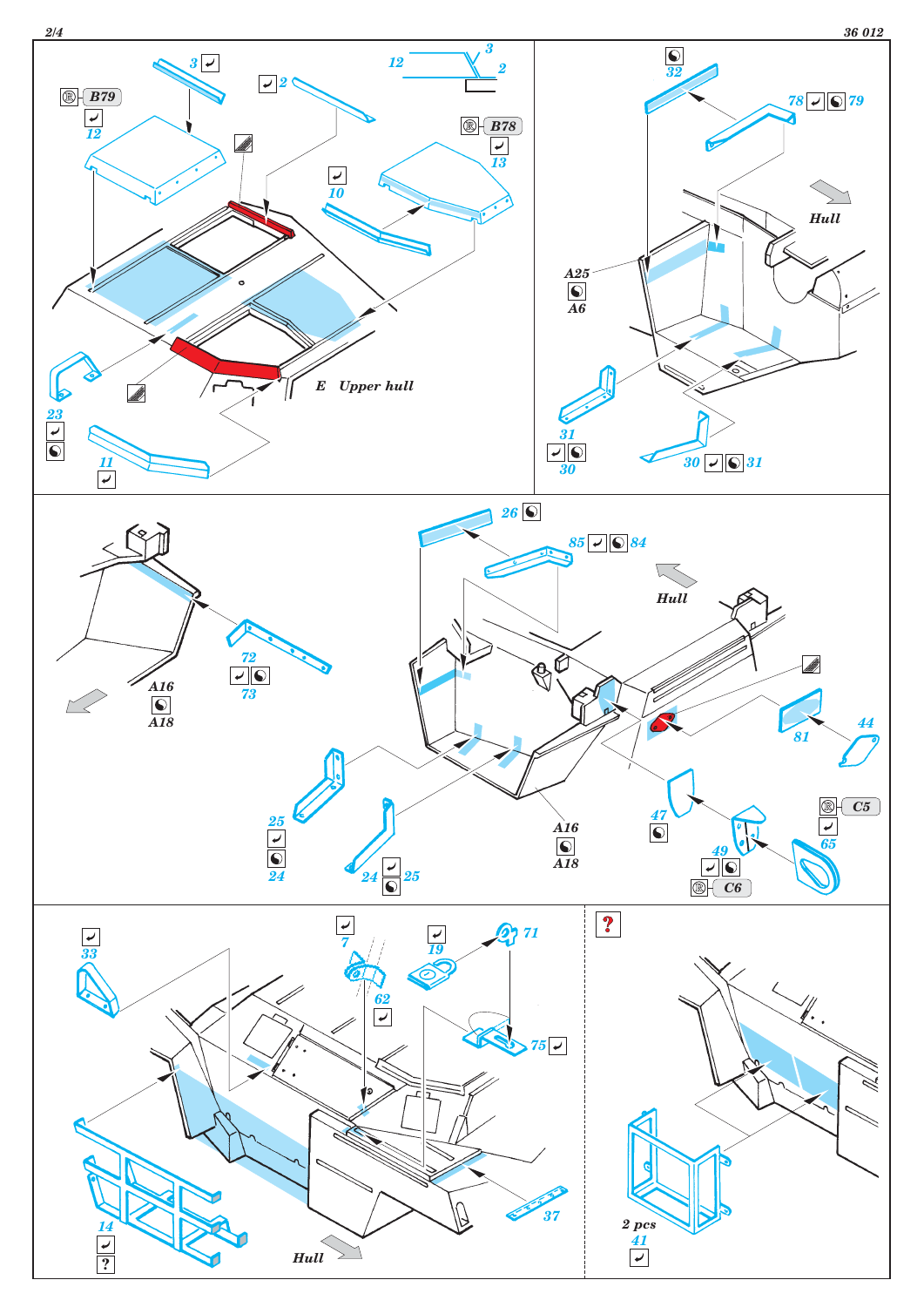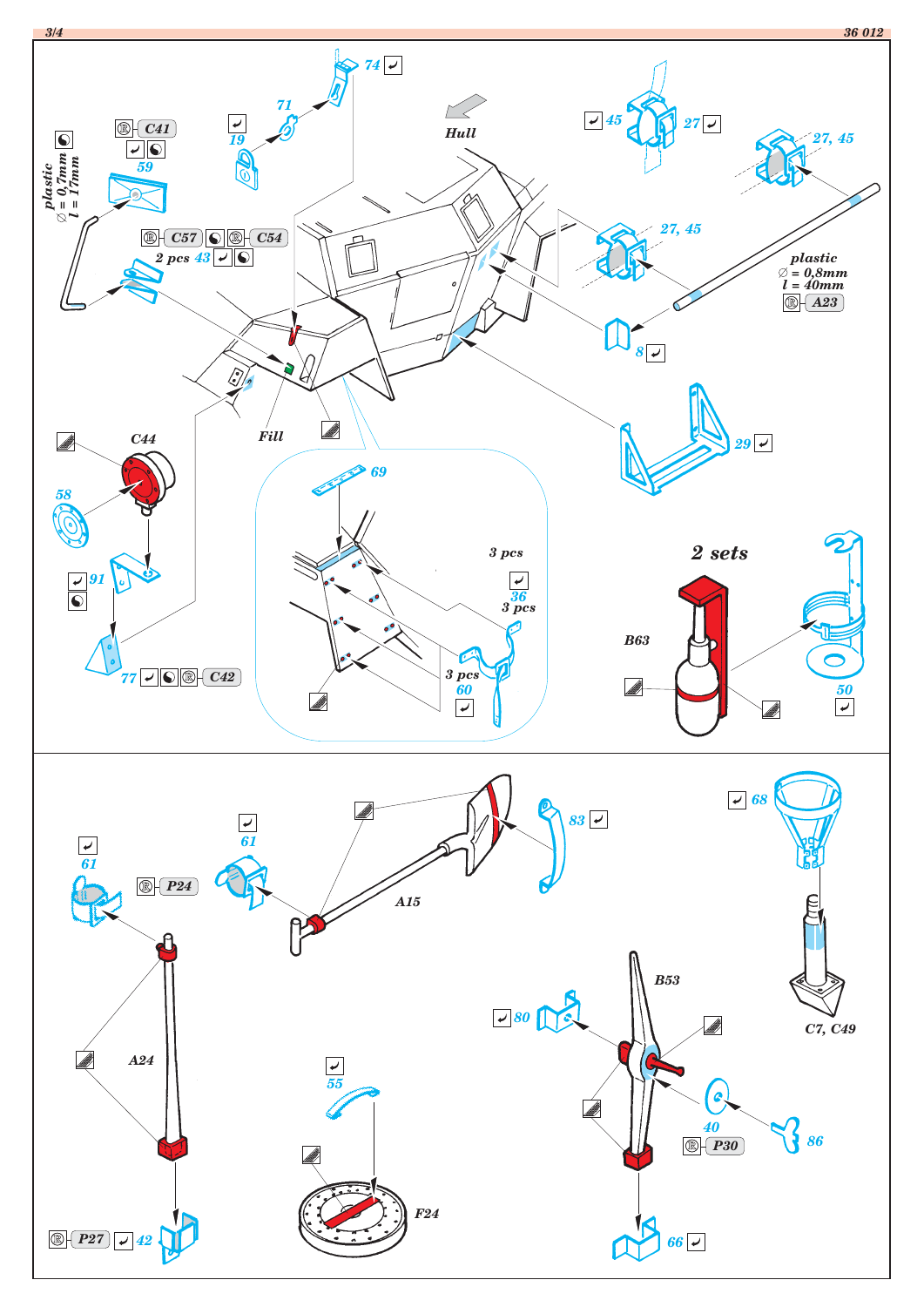